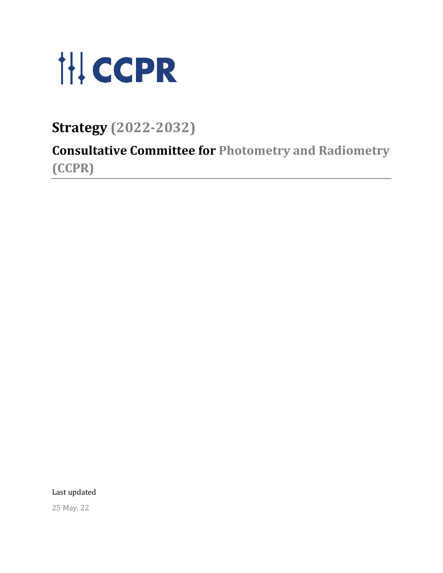

**Strategy (2022-2032)**

**Consultative Committee for Photometry and Radiometry (CCPR)**

Last updated

25 May. 22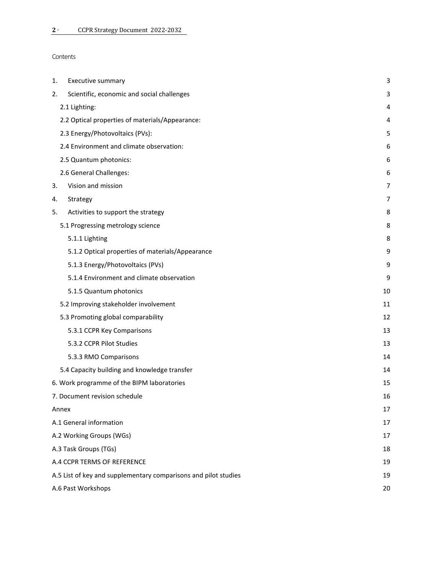| Contents |
|----------|
|----------|

| Executive summary<br>1.                                         | 3  |
|-----------------------------------------------------------------|----|
| Scientific, economic and social challenges<br>2.                | 3  |
| 2.1 Lighting:                                                   | 4  |
| 2.2 Optical properties of materials/Appearance:                 | 4  |
| 2.3 Energy/Photovoltaics (PVs):                                 | 5  |
| 2.4 Environment and climate observation:                        | 6  |
| 2.5 Quantum photonics:                                          | 6  |
| 2.6 General Challenges:                                         | 6  |
| Vision and mission<br>3.                                        | 7  |
| Strategy<br>4.                                                  | 7  |
| Activities to support the strategy<br>5.                        | 8  |
| 5.1 Progressing metrology science                               | 8  |
| 5.1.1 Lighting                                                  | 8  |
| 5.1.2 Optical properties of materials/Appearance                | 9  |
| 5.1.3 Energy/Photovoltaics (PVs)                                | 9  |
| 5.1.4 Environment and climate observation                       | 9  |
| 5.1.5 Quantum photonics                                         | 10 |
| 5.2 Improving stakeholder involvement                           | 11 |
| 5.3 Promoting global comparability                              | 12 |
| 5.3.1 CCPR Key Comparisons                                      | 13 |
| 5.3.2 CCPR Pilot Studies                                        | 13 |
| 5.3.3 RMO Comparisons                                           | 14 |
| 5.4 Capacity building and knowledge transfer                    | 14 |
| 6. Work programme of the BIPM laboratories                      | 15 |
| 7. Document revision schedule                                   | 16 |
| Annex                                                           | 17 |
| A.1 General information                                         | 17 |
| A.2 Working Groups (WGs)                                        | 17 |
| A.3 Task Groups (TGs)                                           | 18 |
| A.4 CCPR TERMS OF REFERENCE                                     | 19 |
| A.5 List of key and supplementary comparisons and pilot studies | 19 |
| A.6 Past Workshops                                              | 20 |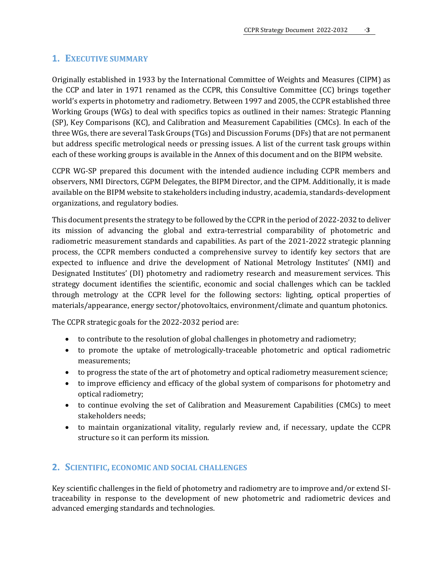# <span id="page-2-0"></span>**1. EXECUTIVE SUMMARY**

Originally established in 1933 by the International Committee of Weights and Measures (CIPM) as the CCP and later in 1971 renamed as the CCPR, this Consultive Committee (CC) brings together world's experts in photometry and radiometry. Between 1997 and 2005, the CCPR established three Working Groups (WGs) to deal with specifics topics as outlined in their names: Strategic Planning (SP), Key Comparisons (KC), and Calibration and Measurement Capabilities (CMCs). In each of the three WGs, there are several Task Groups (TGs) and Discussion Forums (DFs) that are not permanent but address specific metrological needs or pressing issues. A list of the current task groups within each of these working groups is available in the Annex of this document and on the BIPM website.

CCPR WG-SP prepared this document with the intended audience including CCPR members and observers, NMI Directors, CGPM Delegates, the BIPM Director, and the CIPM. Additionally, it is made available on the BIPM website to stakeholders including industry, academia, standards-development organizations, and regulatory bodies.

This document presents the strategy to be followed by the CCPR in the period of 2022-2032 to deliver its mission of advancing the global and extra-terrestrial comparability of photometric and radiometric measurement standards and capabilities. As part of the 2021-2022 strategic planning process, the CCPR members conducted a comprehensive survey to identify key sectors that are expected to influence and drive the development of National Metrology Institutes' (NMI) and Designated Institutes' (DI) photometry and radiometry research and measurement services. This strategy document identifies the scientific, economic and social challenges which can be tackled through metrology at the CCPR level for the following sectors: lighting, optical properties of materials/appearance, energy sector/photovoltaics, environment/climate and quantum photonics.

The CCPR strategic goals for the 2022-2032 period are:

- to contribute to the resolution of global challenges in photometry and radiometry;
- to promote the uptake of metrologically-traceable photometric and optical radiometric measurements;
- to progress the state of the art of photometry and optical radiometry measurement science;
- to improve efficiency and efficacy of the global system of comparisons for photometry and optical radiometry;
- to continue evolving the set of Calibration and Measurement Capabilities (CMCs) to meet stakeholders needs;
- to maintain organizational vitality, regularly review and, if necessary, update the CCPR structure so it can perform its mission.

# <span id="page-2-1"></span>**2. SCIENTIFIC, ECONOMIC AND SOCIAL CHALLENGES**

Key scientific challenges in the field of photometry and radiometry are to improve and/or extend SItraceability in response to the development of new photometric and radiometric devices and advanced emerging standards and technologies.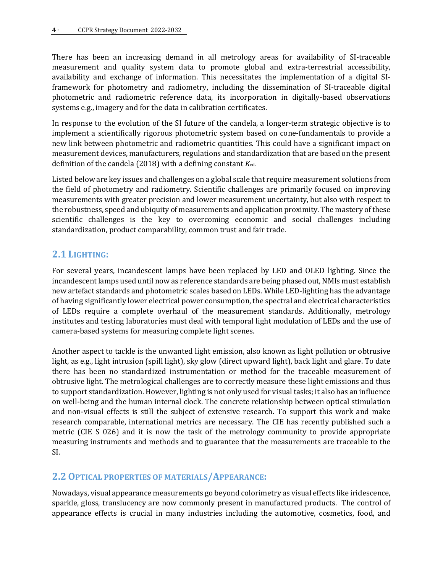There has been an increasing demand in all metrology areas for availability of SI-traceable measurement and quality system data to promote global and extra-terrestrial accessibility, availability and exchange of information. This necessitates the implementation of a digital SIframework for photometry and radiometry, including the dissemination of SI-traceable digital photometric and radiometric reference data, its incorporation in digitally-based observations systems e.g., imagery and for the data in calibration certificates.

In response to the evolution of the SI future of the candela, a longer-term strategic objective is to implement a scientifically rigorous photometric system based on cone-fundamentals to provide a new link between photometric and radiometric quantities. This could have a significant impact on measurement devices, manufacturers, regulations and standardization that are based on the present definition of the candela (2018) with a defining constant *K*cd.

Listed below are key issues and challenges on a global scale that require measurement solutions from the field of photometry and radiometry. Scientific challenges are primarily focused on improving measurements with greater precision and lower measurement uncertainty, but also with respect to the robustness, speed and ubiquity of measurements and application proximity. The mastery of these scientific challenges is the key to overcoming economic and social challenges including standardization, product comparability, common trust and fair trade.

# <span id="page-3-0"></span>**2.1 LIGHTING:**

For several years, incandescent lamps have been replaced by LED and OLED lighting. Since the incandescent lamps used until now as reference standards are being phased out, NMIs must establish new artefact standards and photometric scales based on LEDs. While LED-lighting has the advantage of having significantly lower electrical power consumption, the spectral and electrical characteristics of LEDs require a complete overhaul of the measurement standards. Additionally, metrology institutes and testing laboratories must deal with temporal light modulation of LEDs and the use of camera-based systems for measuring complete light scenes.

Another aspect to tackle is the unwanted light emission, also known as light pollution or obtrusive light, as e.g., light intrusion (spill light), sky glow (direct upward light), back light and glare. To date there has been no standardized instrumentation or method for the traceable measurement of obtrusive light. The metrological challenges are to correctly measure these light emissions and thus to support standardization. However, lighting is not only used for visual tasks; it also has an influence on well-being and the human internal clock. The concrete relationship between optical stimulation and non-visual effects is still the subject of extensive research. To support this work and make research comparable, international metrics are necessary. The CIE has recently published such a metric (CIE S 026) and it is now the task of the metrology community to provide appropriate measuring instruments and methods and to guarantee that the measurements are traceable to the SI.

#### <span id="page-3-1"></span>**2.2OPTICAL PROPERTIES OF MATERIALS/APPEARANCE:**

Nowadays, visual appearance measurements go beyond colorimetry as visual effects like iridescence, sparkle, gloss, translucency are now commonly present in manufactured products. The control of appearance effects is crucial in many industries including the automotive, cosmetics, food, and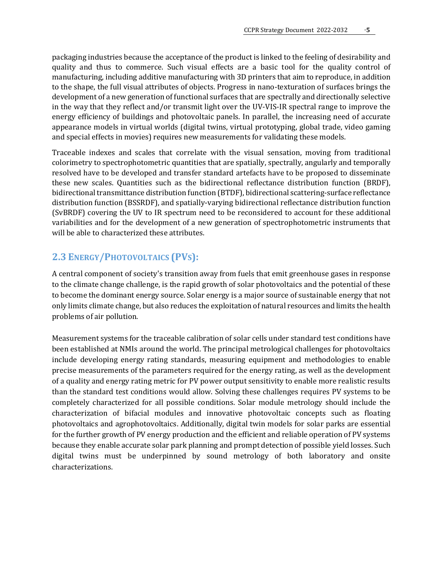packaging industries because the acceptance of the product is linked to the feeling of desirability and quality and thus to commerce. Such visual effects are a basic tool for the quality control of manufacturing, including additive manufacturing with 3D printers that aim to reproduce, in addition to the shape, the full visual attributes of objects. Progress in nano-texturation of surfaces brings the development of a new generation of functional surfaces that are spectrally and directionally selective in the way that they reflect and/or transmit light over the UV-VIS-IR spectral range to improve the energy efficiency of buildings and photovoltaic panels. In parallel, the increasing need of accurate appearance models in virtual worlds (digital twins, virtual prototyping, global trade, video gaming and special effects in movies) requires new measurements for validating these models.

Traceable indexes and scales that correlate with the visual sensation, moving from traditional colorimetry to spectrophotometric quantities that are spatially, spectrally, angularly and temporally resolved have to be developed and transfer standard artefacts have to be proposed to disseminate these new scales. Quantities such as the bidirectional reflectance distribution function (BRDF), bidirectional transmittance distribution function (BTDF), bidirectional scattering-surface reflectance distribution function (BSSRDF), and spatially-varying bidirectional reflectance distribution function (SvBRDF) covering the UV to IR spectrum need to be reconsidered to account for these additional variabilities and for the development of a new generation of spectrophotometric instruments that will be able to characterized these attributes.

# <span id="page-4-0"></span>**2.3 ENERGY/PHOTOVOLTAICS (PVS):**

A central component of society's transition away from fuels that emit greenhouse gases in response to the climate change challenge, is the rapid growth of solar photovoltaics and the potential of these to become the dominant energy source. Solar energy is a major source of sustainable energy that not only limits climate change, but also reduces the exploitation of natural resources and limits the health problems of air pollution.

Measurement systems for the traceable calibration of solar cells under standard test conditions have been established at NMIs around the world. The principal metrological challenges for photovoltaics include developing energy rating standards, measuring equipment and methodologies to enable precise measurements of the parameters required for the energy rating, as well as the development of a quality and energy rating metric for PV power output sensitivity to enable more realistic results than the standard test conditions would allow. Solving these challenges requires PV systems to be completely characterized for all possible conditions. Solar module metrology should include the characterization of bifacial modules and innovative photovoltaic concepts such as floating photovoltaics and agrophotovoltaics. Additionally, digital twin models for solar parks are essential for the further growth of PV energy production and the efficient and reliable operation of PV systems because they enable accurate solar park planning and prompt detection of possible yield losses. Such digital twins must be underpinned by sound metrology of both laboratory and onsite characterizations.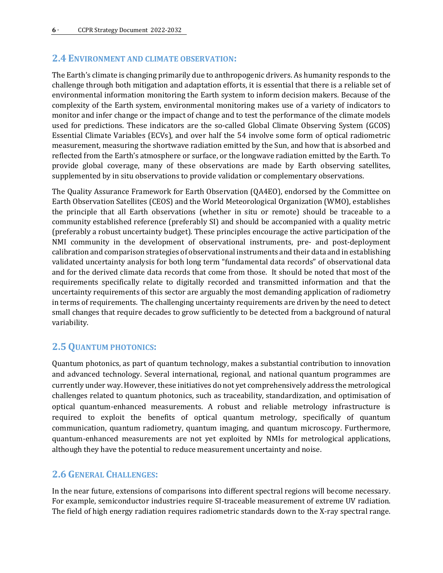#### <span id="page-5-0"></span>**2.4 ENVIRONMENT AND CLIMATE OBSERVATION:**

The Earth's climate is changing primarily due to anthropogenic drivers. As humanity responds to the challenge through both mitigation and adaptation efforts, it is essential that there is a reliable set of environmental information monitoring the Earth system to inform decision makers. Because of the complexity of the Earth system, environmental monitoring makes use of a variety of indicators to monitor and infer change or the impact of change and to test the performance of the climate models used for predictions. These indicators are the so-called Global Climate Observing System (GCOS) Essential Climate Variables (ECVs), and over half the 54 involve some form of optical radiometric measurement, measuring the shortwave radiation emitted by the Sun, and how that is absorbed and reflected from the Earth's atmosphere or surface, or the longwave radiation emitted by the Earth. To provide global coverage, many of these observations are made by Earth observing satellites, supplemented by in situ observations to provide validation or complementary observations.

The Quality Assurance Framework for Earth Observation (QA4EO), endorsed by the Committee on Earth Observation Satellites (CEOS) and the World Meteorological Organization (WMO), establishes the principle that all Earth observations (whether in situ or remote) should be traceable to a community established reference (preferably SI) and should be accompanied with a quality metric (preferably a robust uncertainty budget). These principles encourage the active participation of the NMI community in the development of observational instruments, pre- and post-deployment calibration and comparison strategies of observational instruments and their data and in establishing validated uncertainty analysis for both long term "fundamental data records" of observational data and for the derived climate data records that come from those. It should be noted that most of the requirements specifically relate to digitally recorded and transmitted information and that the uncertainty requirements of this sector are arguably the most demanding application of radiometry in terms of requirements. The challenging uncertainty requirements are driven by the need to detect small changes that require decades to grow sufficiently to be detected from a background of natural variability.

#### <span id="page-5-1"></span>**2.5 QUANTUM PHOTONICS:**

Quantum photonics, as part of quantum technology, makes a substantial contribution to innovation and advanced technology. Several international, regional, and national quantum programmes are currently under way. However, these initiatives do not yet comprehensively address the metrological challenges related to quantum photonics, such as traceability, standardization, and optimisation of optical quantum-enhanced measurements. A robust and reliable metrology infrastructure is required to exploit the benefits of optical quantum metrology, specifically of quantum communication, quantum radiometry, quantum imaging, and quantum microscopy. Furthermore, quantum-enhanced measurements are not yet exploited by NMIs for metrological applications, although they have the potential to reduce measurement uncertainty and noise.

#### <span id="page-5-2"></span>**2.6 GENERAL CHALLENGES:**

In the near future, extensions of comparisons into different spectral regions will become necessary. For example, semiconductor industries require SI-traceable measurement of extreme UV radiation. The field of high energy radiation requires radiometric standards down to the X-ray spectral range.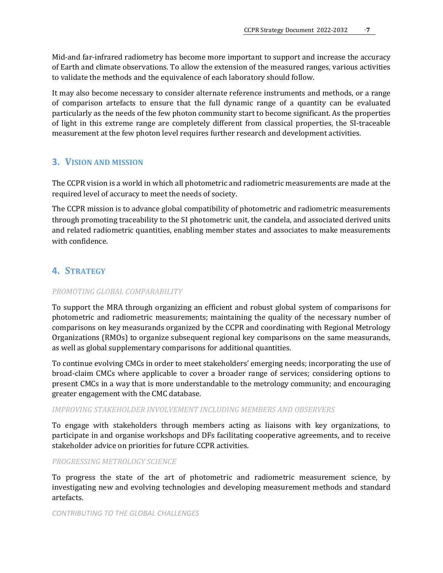Mid-and far-infrared radiometry has become more important to support and increase the accuracy of Earth and climate observations. To allow the extension of the measured ranges, various activities to validate the methods and the equivalence of each laboratory should follow.

It may also become necessary to consider alternate reference instruments and methods, or a range of comparison artefacts to ensure that the full dynamic range of a quantity can be evaluated particularly as the needs of the few photon community start to become significant. As the properties of light in this extreme range are completely different from classical properties, the SI-traceable measurement at the few photon level requires further research and development activities.

#### <span id="page-6-0"></span>**3. VISION AND MISSION**

The CCPR vision is a world in which all photometric and radiometric measurements are made at the required level of accuracy to meet the needs of society.

The CCPR mission is to advance global compatibility of photometric and radiometric measurements through promoting traceability to the SI photometric unit, the candela, and associated derived units and related radiometric quantities, enabling member states and associates to make measurements with confidence.

# <span id="page-6-1"></span>**4. STRATEGY**

#### *PROMOTING GLOBAL COMPARABILITY*

To support the MRA through organizing an efficient and robust global system of comparisons for photometric and radiometric measurements; maintaining the quality of the necessary number of comparisons on key measurands organized by the CCPR and coordinating with Regional Metrology Organizations (RMOs) to organize subsequent regional key comparisons on the same measurands, as well as global supplementary comparisons for additional quantities.

To continue evolving CMCs in order to meet stakeholders' emerging needs; incorporating the use of broad-claim CMCs where applicable to cover a broader range of services; considering options to present CMCs in a way that is more understandable to the metrology community; and encouraging greater engagement with the CMC database.

#### *IMPROVING STAKEHOLDER INVOLVEMENT INCLUDING MEMBERS AND OBSERVERS*

To engage with stakeholders through members acting as liaisons with key organizations, to participate in and organise workshops and DFs facilitating cooperative agreements, and to receive stakeholder advice on priorities for future CCPR activities.

#### *PROGRESSING METROLOGY SCIENCE*

To progress the state of the art of photometric and radiometric measurement science, by investigating new and evolving technologies and developing measurement methods and standard artefacts.

#### *CONTRIBUTING TO THE GLOBAL CHALLENGES*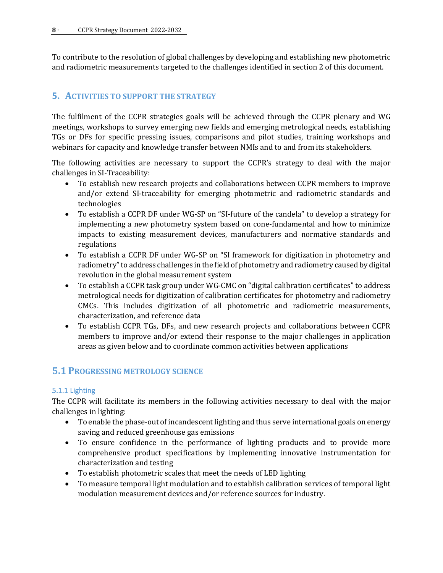To contribute to the resolution of global challenges by developing and establishing new photometric and radiometric measurements targeted to the challenges identified in section 2 of this document.

# <span id="page-7-0"></span>**5. ACTIVITIES TO SUPPORT THE STRATEGY**

The fulfilment of the CCPR strategies goals will be achieved through the CCPR plenary and WG meetings, workshops to survey emerging new fields and emerging metrological needs, establishing TGs or DFs for specific pressing issues, comparisons and pilot studies, training workshops and webinars for capacity and knowledge transfer between NMIs and to and from its stakeholders.

The following activities are necessary to support the CCPR's strategy to deal with the major challenges in SI-Traceability:

- To establish new research projects and collaborations between CCPR members to improve and/or extend SI-traceability for emerging photometric and radiometric standards and technologies
- To establish a CCPR DF under WG-SP on "SI-future of the candela" to develop a strategy for implementing a new photometry system based on cone-fundamental and how to minimize impacts to existing measurement devices, manufacturers and normative standards and regulations
- To establish a CCPR DF under WG-SP on "SI framework for digitization in photometry and radiometry" to address challenges in the field of photometry and radiometry caused by digital revolution in the global measurement system
- To establish a CCPR task group under WG-CMC on "digital calibration certificates" to address metrological needs for digitization of calibration certificates for photometry and radiometry CMCs. This includes digitization of all photometric and radiometric measurements, characterization, and reference data
- To establish CCPR TGs, DFs, and new research projects and collaborations between CCPR members to improve and/or extend their response to the major challenges in application areas as given below and to coordinate common activities between applications

# <span id="page-7-1"></span>**5.1 PROGRESSING METROLOGY SCIENCE**

#### <span id="page-7-2"></span>5.1.1 Lighting

The CCPR will facilitate its members in the following activities necessary to deal with the major challenges in lighting:

- To enable the phase-out of incandescent lighting and thus serve international goals on energy saving and reduced greenhouse gas emissions
- To ensure confidence in the performance of lighting products and to provide more comprehensive product specifications by implementing innovative instrumentation for characterization and testing
- To establish photometric scales that meet the needs of LED lighting
- To measure temporal light modulation and to establish calibration services of temporal light modulation measurement devices and/or reference sources for industry.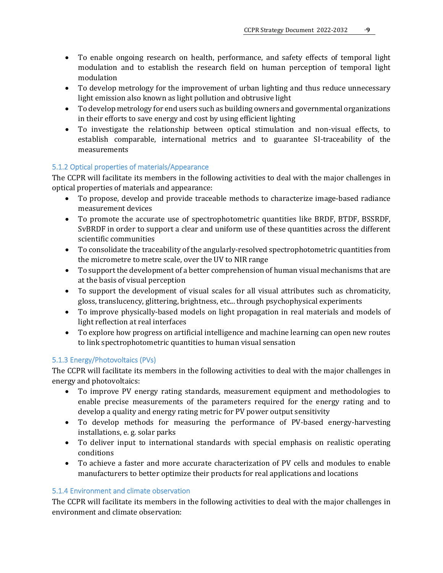- To enable ongoing research on health, performance, and safety effects of temporal light modulation and to establish the research field on human perception of temporal light modulation
- To develop metrology for the improvement of urban lighting and thus reduce unnecessary light emission also known as light pollution and obtrusive light
- To develop metrology for end users such as building owners and governmental organizations in their efforts to save energy and cost by using efficient lighting
- To investigate the relationship between optical stimulation and non-visual effects, to establish comparable, international metrics and to guarantee SI-traceability of the measurements

#### <span id="page-8-0"></span>5.1.2 Optical properties of materials/Appearance

The CCPR will facilitate its members in the following activities to deal with the major challenges in optical properties of materials and appearance:

- To propose, develop and provide traceable methods to characterize image-based radiance measurement devices
- To promote the accurate use of spectrophotometric quantities like BRDF, BTDF, BSSRDF, SvBRDF in order to support a clear and uniform use of these quantities across the different scientific communities
- To consolidate the traceability of the angularly-resolved spectrophotometric quantities from the micrometre to metre scale, over the UV to NIR range
- To support the development of a better comprehension of human visual mechanisms that are at the basis of visual perception
- To support the development of visual scales for all visual attributes such as chromaticity, gloss, translucency, glittering, brightness, etc... through psychophysical experiments
- To improve physically-based models on light propagation in real materials and models of light reflection at real interfaces
- To explore how progress on artificial intelligence and machine learning can open new routes to link spectrophotometric quantities to human visual sensation

#### <span id="page-8-1"></span>5.1.3 Energy/Photovoltaics (PVs)

The CCPR will facilitate its members in the following activities to deal with the major challenges in energy and photovoltaics:

- To improve PV energy rating standards, measurement equipment and methodologies to enable precise measurements of the parameters required for the energy rating and to develop a quality and energy rating metric for PV power output sensitivity
- To develop methods for measuring the performance of PV-based energy-harvesting installations, e. g. solar parks
- To deliver input to international standards with special emphasis on realistic operating conditions
- To achieve a faster and more accurate characterization of PV cells and modules to enable manufacturers to better optimize their products for real applications and locations

#### <span id="page-8-2"></span>5.1.4 Environment and climate observation

The CCPR will facilitate its members in the following activities to deal with the major challenges in environment and climate observation: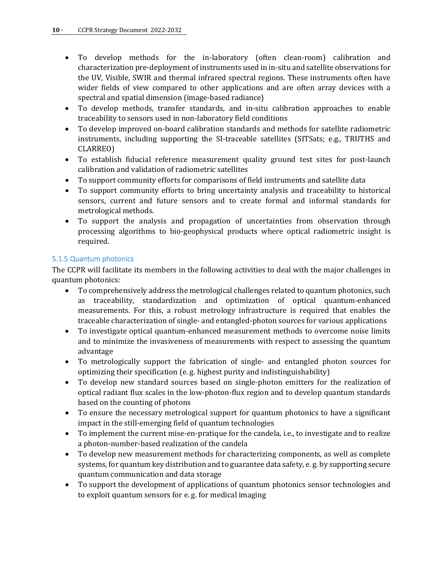- To develop methods for the in-laboratory (often clean-room) calibration and characterization pre-deployment of instruments used in in-situ and satellite observations for the UV, Visible, SWIR and thermal infrared spectral regions. These instruments often have wider fields of view compared to other applications and are often array devices with a spectral and spatial dimension (image-based radiance)
- To develop methods, transfer standards, and in-situ calibration approaches to enable traceability to sensors used in non-laboratory field conditions
- To develop improved on-board calibration standards and methods for satellite radiometric instruments, including supporting the SI-traceable satellites (SITSats; e.g., TRUTHS and CLARREO)
- To establish fiducial reference measurement quality ground test sites for post-launch calibration and validation of radiometric satellites
- To support community efforts for comparisons of field instruments and satellite data
- To support community efforts to bring uncertainty analysis and traceability to historical sensors, current and future sensors and to create formal and informal standards for metrological methods.
- To support the analysis and propagation of uncertainties from observation through processing algorithms to bio-geophysical products where optical radiometric insight is required.

#### <span id="page-9-0"></span>5.1.5 Quantum photonics

The CCPR will facilitate its members in the following activities to deal with the major challenges in quantum photonics:

- To comprehensively address the metrological challenges related to quantum photonics, such as traceability, standardization and optimization of optical quantum-enhanced measurements. For this, a robust metrology infrastructure is required that enables the traceable characterization of single- and entangled-photon sources for various applications
- To investigate optical quantum-enhanced measurement methods to overcome noise limits and to minimize the invasiveness of measurements with respect to assessing the quantum advantage
- To metrologically support the fabrication of single- and entangled photon sources for optimizing their specification (e. g. highest purity and indistinguishability)
- To develop new standard sources based on single-photon emitters for the realization of optical radiant flux scales in the low-photon-flux region and to develop quantum standards based on the counting of photons
- To ensure the necessary metrological support for quantum photonics to have a significant impact in the still-emerging field of quantum technologies
- To implement the current mise-en-pratique for the candela, i.e., to investigate and to realize a photon-number-based realization of the candela
- To develop new measurement methods for characterizing components, as well as complete systems, for quantum key distribution and to guarantee data safety, e. g. by supporting secure quantum communication and data storage
- To support the development of applications of quantum photonics sensor technologies and to exploit quantum sensors for e. g. for medical imaging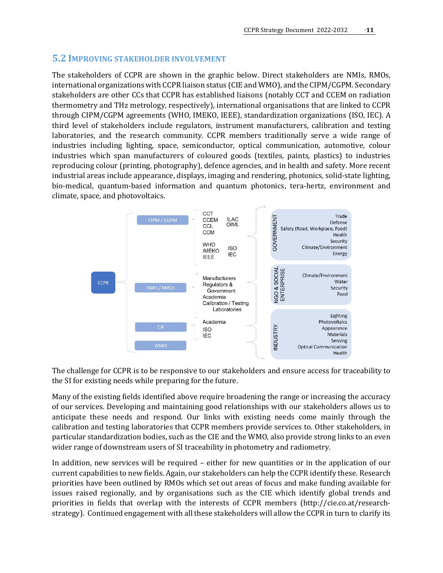#### <span id="page-10-0"></span>**5.2 IMPROVING STAKEHOLDER INVOLVEMENT**

The stakeholders of CCPR are shown in the graphic below. Direct stakeholders are NMIs, RMOs, international organizations with CCPR liaison status (CIE and WMO), and the CIPM/CGPM. Secondary stakeholders are other CCs that CCPR has established liaisons (notably CCT and CCEM on radiation thermometry and THz metrology, respectively), international organisations that are linked to CCPR through CIPM/CGPM agreements (WHO, IMEKO, IEEE), standardization organizations (ISO, IEC). A third level of stakeholders include regulators, instrument manufacturers, calibration and testing laboratories, and the research community. CCPR members traditionally serve a wide range of industries including lighting, space, semiconductor, optical communication, automotive, colour industries which span manufacturers of coloured goods (textiles, paints, plastics) to industries reproducing colour (printing, photography), defence agencies, and in health and safety. More recent industrial areas include appearance, displays, imaging and rendering, photonics, solid-state lighting, bio-medical, quantum-based information and quantum photonics, tera-hertz, environment and climate, space, and photovoltaics.



The challenge for CCPR is to be responsive to our stakeholders and ensure access for traceability to the SI for existing needs while preparing for the future.

Many of the existing fields identified above require broadening the range or increasing the accuracy of our services. Developing and maintaining good relationships with our stakeholders allows us to anticipate these needs and respond. Our links with existing needs come mainly through the calibration and testing laboratories that CCPR members provide services to. Other stakeholders, in particular standardization bodies, such as the CIE and the WMO, also provide strong links to an even wider range of downstream users of SI traceability in photometry and radiometry.

In addition, new services will be required – either for new quantities or in the application of our current capabilities to new fields. Again, our stakeholders can help the CCPR identify these. Research priorities have been outlined by RMOs which set out areas of focus and make funding available for issues raised regionally, and by organisations such as the CIE which identify global trends and priorities in fields that overlap with the interests of CCPR members [\(http://cie.co.at/research](http://cie.co.at/research-strategy)[strategy\)](http://cie.co.at/research-strategy). Continued engagement with all these stakeholders will allow the CCPR in turn to clarify its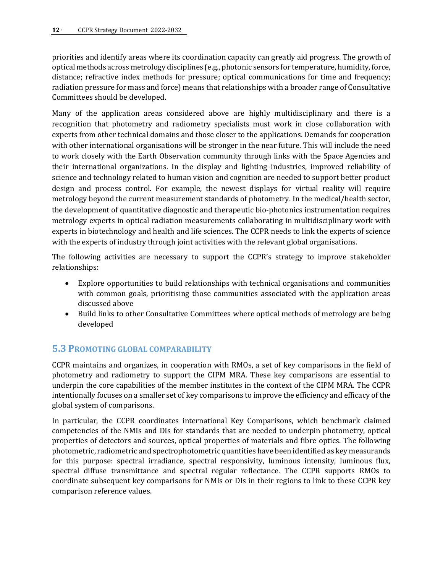priorities and identify areas where its coordination capacity can greatly aid progress. The growth of optical methods across metrology disciplines (e.g., photonic sensors for temperature, humidity, force, distance; refractive index methods for pressure; optical communications for time and frequency; radiation pressure for mass and force) means that relationships with a broader range of Consultative Committees should be developed.

Many of the application areas considered above are highly multidisciplinary and there is a recognition that photometry and radiometry specialists must work in close collaboration with experts from other technical domains and those closer to the applications. Demands for cooperation with other international organisations will be stronger in the near future. This will include the need to work closely with the Earth Observation community through links with the Space Agencies and their international organizations. In the display and lighting industries, improved reliability of science and technology related to human vision and cognition are needed to support better product design and process control. For example, the newest displays for virtual reality will require metrology beyond the current measurement standards of photometry. In the medical/health sector, the development of quantitative diagnostic and therapeutic bio-photonics instrumentation requires metrology experts in optical radiation measurements collaborating in multidisciplinary work with experts in biotechnology and health and life sciences. The CCPR needs to link the experts of science with the experts of industry through joint activities with the relevant global organisations.

The following activities are necessary to support the CCPR's strategy to improve stakeholder relationships:

- Explore opportunities to build relationships with technical organisations and communities with common goals, prioritising those communities associated with the application areas discussed above
- Build links to other Consultative Committees where optical methods of metrology are being developed

# <span id="page-11-0"></span>**5.3 PROMOTING GLOBAL COMPARABILITY**

CCPR maintains and organizes, in cooperation with RMOs, a set of key comparisons in the field of photometry and radiometry to support the CIPM MRA. These key comparisons are essential to underpin the core capabilities of the member institutes in the context of the CIPM MRA. The CCPR intentionally focuses on a smaller set of key comparisons to improve the efficiency and efficacy of the global system of comparisons.

In particular, the CCPR coordinates international Key Comparisons, which benchmark claimed competencies of the NMIs and DIs for standards that are needed to underpin photometry, optical properties of detectors and sources, optical properties of materials and fibre optics. The following photometric, radiometric and spectrophotometric quantities have been identified as key measurands for this purpose: spectral irradiance, spectral responsivity, luminous intensity, luminous flux, spectral diffuse transmittance and spectral regular reflectance. The CCPR supports RMOs to coordinate subsequent key comparisons for NMIs or DIs in their regions to link to these CCPR key comparison reference values.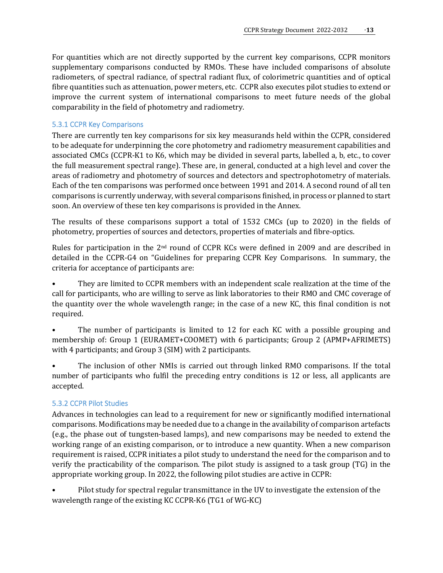For quantities which are not directly supported by the current key comparisons, CCPR monitors supplementary comparisons conducted by RMOs. These have included comparisons of absolute radiometers, of spectral radiance, of spectral radiant flux, of colorimetric quantities and of optical fibre quantities such as attenuation, power meters, etc. CCPR also executes pilot studies to extend or improve the current system of international comparisons to meet future needs of the global comparability in the field of photometry and radiometry.

#### <span id="page-12-0"></span>5.3.1 CCPR Key Comparisons

There are currently ten key comparisons for six key measurands held within the CCPR, considered to be adequate for underpinning the core photometry and radiometry measurement capabilities and associated CMCs (CCPR-K1 to K6, which may be divided in several parts, labelled a, b, etc., to cover the full measurement spectral range). These are, in general, conducted at a high level and cover the areas of radiometry and photometry of sources and detectors and spectrophotometry of materials. Each of the ten comparisons was performed once between 1991 and 2014. A second round of all ten comparisons is currently underway, with several comparisons finished, in process or planned to start soon. An overview of these ten key comparisons is provided in the Annex.

The results of these comparisons support a total of 1532 CMCs (up to 2020) in the fields of photometry, properties of sources and detectors, properties of materials and fibre-optics.

Rules for participation in the  $2<sup>nd</sup>$  round of CCPR KCs were defined in 2009 and are described in detailed in the CCPR-G4 on "Guidelines for preparing CCPR Key Comparisons. In summary, the criteria for acceptance of participants are:

• They are limited to CCPR members with an independent scale realization at the time of the call for participants, who are willing to serve as link laboratories to their RMO and CMC coverage of the quantity over the whole wavelength range; in the case of a new KC, this final condition is not required.

The number of participants is limited to 12 for each KC with a possible grouping and membership of: Group 1 (EURAMET+COOMET) with 6 participants; Group 2 (APMP+AFRIMETS) with 4 participants; and Group 3 (SIM) with 2 participants.

The inclusion of other NMIs is carried out through linked RMO comparisons. If the total number of participants who fulfil the preceding entry conditions is 12 or less, all applicants are accepted.

#### <span id="page-12-1"></span>5.3.2 CCPR Pilot Studies

Advances in technologies can lead to a requirement for new or significantly modified international comparisons. Modifications may be needed due to a change in the availability of comparison artefacts (e.g., the phase out of tungsten-based lamps), and new comparisons may be needed to extend the working range of an existing comparison, or to introduce a new quantity. When a new comparison requirement is raised, CCPR initiates a pilot study to understand the need for the comparison and to verify the practicability of the comparison. The pilot study is assigned to a task group (TG) in the appropriate working group. In 2022, the following pilot studies are active in CCPR:

• Pilot study for spectral regular transmittance in the UV to investigate the extension of the wavelength range of the existing KC CCPR-K6 (TG1 of WG-KC)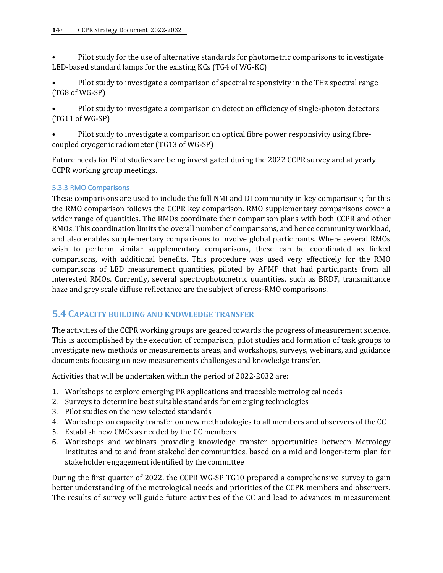• Pilot study for the use of alternative standards for photometric comparisons to investigate LED-based standard lamps for the existing KCs (TG4 of WG-KC)

- Pilot study to investigate a comparison of spectral responsivity in the THz spectral range (TG8 of WG-SP)
- Pilot study to investigate a comparison on detection efficiency of single-photon detectors (TG11 of WG-SP)

• Pilot study to investigate a comparison on optical fibre power responsivity using fibrecoupled cryogenic radiometer (TG13 of WG-SP)

Future needs for Pilot studies are being investigated during the 2022 CCPR survey and at yearly CCPR working group meetings.

#### <span id="page-13-0"></span>5.3.3 RMO Comparisons

These comparisons are used to include the full NMI and DI community in key comparisons; for this the RMO comparison follows the CCPR key comparison. RMO supplementary comparisons cover a wider range of quantities. The RMOs coordinate their comparison plans with both CCPR and other RMOs. This coordination limits the overall number of comparisons, and hence community workload, and also enables supplementary comparisons to involve global participants. Where several RMOs wish to perform similar supplementary comparisons, these can be coordinated as linked comparisons, with additional benefits. This procedure was used very effectively for the RMO comparisons of LED measurement quantities, piloted by APMP that had participants from all interested RMOs. Currently, several spectrophotometric quantities, such as BRDF, transmittance haze and grey scale diffuse reflectance are the subject of cross-RMO comparisons.

# <span id="page-13-1"></span>**5.4 CAPACITY BUILDING AND KNOWLEDGE TRANSFER**

The activities of the CCPR working groups are geared towards the progress of measurement science. This is accomplished by the execution of comparison, pilot studies and formation of task groups to investigate new methods or measurements areas, and workshops, surveys, webinars, and guidance documents focusing on new measurements challenges and knowledge transfer.

Activities that will be undertaken within the period of 2022-2032 are:

- 1. Workshops to explore emerging PR applications and traceable metrological needs
- 2. Surveys to determine best suitable standards for emerging technologies
- 3. Pilot studies on the new selected standards
- 4. Workshops on capacity transfer on new methodologies to all members and observers of the CC
- 5. Establish new CMCs as needed by the CC members
- 6. Workshops and webinars providing knowledge transfer opportunities between Metrology Institutes and to and from stakeholder communities, based on a mid and longer-term plan for stakeholder engagement identified by the committee

During the first quarter of 2022, the CCPR WG-SP TG10 prepared a comprehensive survey to gain better understanding of the metrological needs and priorities of the CCPR members and observers. The results of survey will guide future activities of the CC and lead to advances in measurement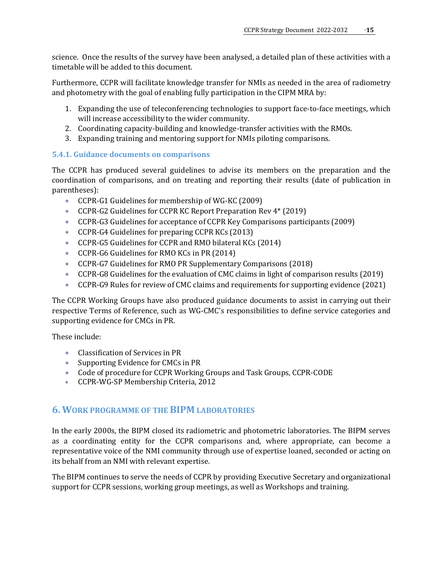science. Once the results of the survey have been analysed, a detailed plan of these activities with a timetable will be added to this document.

Furthermore, CCPR will facilitate knowledge transfer for NMIs as needed in the area of radiometry and photometry with the goal of enabling fully participation in the CIPM MRA by:

- 1. Expanding the use of teleconferencing technologies to support face-to-face meetings, which will increase accessibility to the wider community.
- 2. Coordinating capacity-building and knowledge-transfer activities with the RMOs.
- 3. Expanding training and mentoring support for NMIs piloting comparisons.

#### **5.4.1. Guidance documents on comparisons**

The CCPR has produced several guidelines to advise its members on the preparation and the coordination of comparisons, and on treating and reporting their results (date of publication in parentheses):

- CCPR-G1 Guidelines for membership of WG-KC (2009)
- CCPR-G2 Guidelines for CCPR KC Report Preparation Rev 4\* (2019)
- CCPR-G3 Guidelines for acceptance of CCPR Key Comparisons participants (2009)
- CCPR-G4 Guidelines for preparing CCPR KCs (2013)
- CCPR-G5 Guidelines for CCPR and RMO bilateral KCs (2014)
- CCPR-G6 Guidelines for RMO KCs in PR (2014)
- CCPR-G7 Guidelines for RMO PR Supplementary Comparisons (2018)
- CCPR-G8 Guidelines for the evaluation of CMC claims in light of comparison results (2019)
- CCPR-G9 Rules for review of CMC claims and requirements for supporting evidence (2021)

The CCPR Working Groups have also produced guidance documents to assist in carrying out their respective Terms of Reference, such as WG-CMC's responsibilities to define service categories and supporting evidence for CMCs in PR.

These include:

- Classification of Services in PR
- Supporting Evidence for CMCs in PR
- Code of procedure for CCPR Working Groups and Task Groups, CCPR-CODE
- <span id="page-14-0"></span>• CCPR-WG-SP Membership Criteria, 2012

#### **6. WORK PROGRAMME OF THE BIPM LABORATORIES**

In the early 2000s, the BIPM closed its radiometric and photometric laboratories. The BIPM serves as a coordinating entity for the CCPR comparisons and, where appropriate, can become a representative voice of the NMI community through use of expertise loaned, seconded or acting on its behalf from an NMI with relevant expertise.

The BIPM continues to serve the needs of CCPR by providing Executive Secretary and organizational support for CCPR sessions, working group meetings, as well as Workshops and training.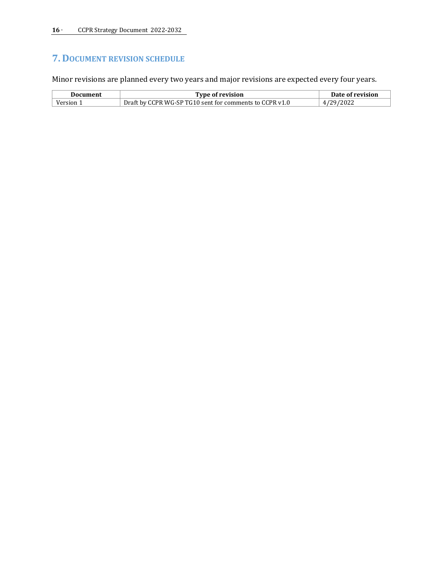# <span id="page-15-0"></span>**7. DOCUMENT REVISION SCHEDULE**

Minor revisions are planned every two years and major revisions are expected every four years.

| <b>Type of revision</b><br><b>Document</b> |                                                         | Date of revision |  |
|--------------------------------------------|---------------------------------------------------------|------------------|--|
| Version                                    | Draft by CCPR WG-SP TG10 sent for comments to CCPR v1.0 | 4/29/2022        |  |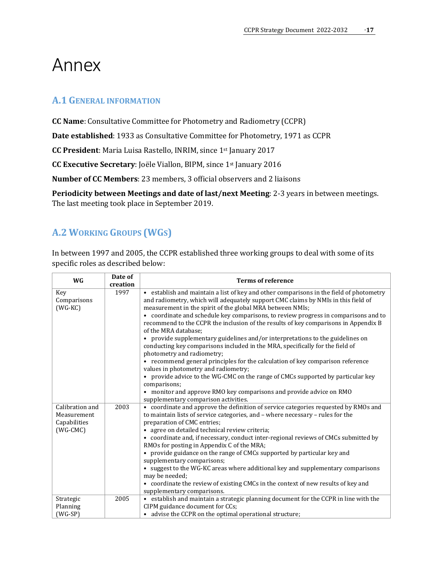# <span id="page-16-1"></span><span id="page-16-0"></span>Annex

# **A.1 GENERAL INFORMATION**

**CC Name**: Consultative Committee for Photometry and Radiometry (CCPR)

**Date established**: 1933 as Consultative Committee for Photometry, 1971 as CCPR

**CC President**: Maria Luisa Rastello, INRIM, since 1st January 2017

**CC Executive Secretary**: Joële Viallon, BIPM, since 1st January 2016

**Number of CC Members**: 23 members, 3 official observers and 2 liaisons

**Periodicity between Meetings and date of last/next Meeting**: 2-3 years in between meetings. The last meeting took place in September 2019.

# <span id="page-16-2"></span>**A.2 WORKING GROUPS (WGS)**

In between 1997 and 2005, the CCPR established three working groups to deal with some of its specific roles as described below:

| <b>WG</b>                                      | Date of<br>creation | <b>Terms of reference</b>                                                                                                                                                                                                                 |  |  |
|------------------------------------------------|---------------------|-------------------------------------------------------------------------------------------------------------------------------------------------------------------------------------------------------------------------------------------|--|--|
| Key<br>Comparisons<br>$(WG-KC)$                | 1997                | • establish and maintain a list of key and other comparisons in the field of photometry<br>and radiometry, which will adequately support CMC claims by NMIs in this field of<br>measurement in the spirit of the global MRA between NMIs; |  |  |
|                                                |                     | • coordinate and schedule key comparisons, to review progress in comparisons and to<br>recommend to the CCPR the inclusion of the results of key comparisons in Appendix B<br>of the MRA database;                                        |  |  |
|                                                |                     | • provide supplementary guidelines and/or interpretations to the guidelines on<br>conducting key comparisons included in the MRA, specifically for the field of<br>photometry and radiometry;                                             |  |  |
|                                                |                     | • recommend general principles for the calculation of key comparison reference<br>values in photometry and radiometry;                                                                                                                    |  |  |
|                                                |                     | provide advice to the WG-CMC on the range of CMCs supported by particular key<br>$\bullet$<br>comparisons;                                                                                                                                |  |  |
|                                                |                     | • monitor and approve RMO key comparisons and provide advice on RMO<br>supplementary comparison activities.                                                                                                                               |  |  |
| Calibration and<br>Measurement<br>Capabilities | 2003                | • coordinate and approve the definition of service categories requested by RMOs and<br>to maintain lists of service categories, and - where necessary - rules for the<br>preparation of CMC entries;                                      |  |  |
| $(WG-CMC)$                                     |                     | • agree on detailed technical review criteria;                                                                                                                                                                                            |  |  |
|                                                |                     | • coordinate and, if necessary, conduct inter-regional reviews of CMCs submitted by<br>RMOs for posting in Appendix C of the MRA;                                                                                                         |  |  |
|                                                |                     | • provide guidance on the range of CMCs supported by particular key and<br>supplementary comparisons;                                                                                                                                     |  |  |
|                                                |                     | • suggest to the WG-KC areas where additional key and supplementary comparisons<br>may be needed;                                                                                                                                         |  |  |
|                                                |                     | • coordinate the review of existing CMCs in the context of new results of key and<br>supplementary comparisons.                                                                                                                           |  |  |
| Strategic                                      | 2005                | • establish and maintain a strategic planning document for the CCPR in line with the                                                                                                                                                      |  |  |
| Planning                                       |                     | CIPM guidance document for CCs;                                                                                                                                                                                                           |  |  |
| $(WG-SP)$                                      |                     | advise the CCPR on the optimal operational structure;                                                                                                                                                                                     |  |  |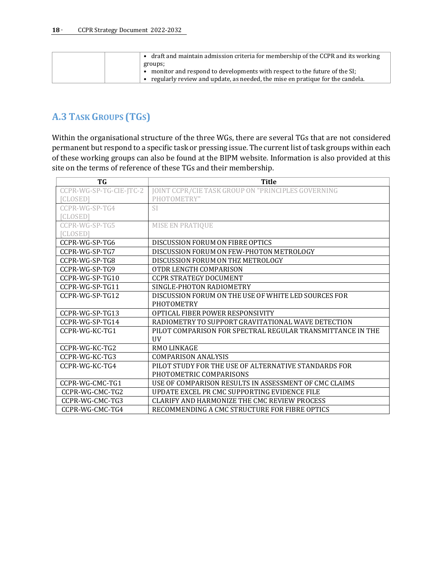| draft and maintain admission criteria for membership of the CCPR and its working |
|----------------------------------------------------------------------------------|
| groups;                                                                          |
| • monitor and respond to developments with respect to the future of the SI;      |
| regularly review and update, as needed, the mise en pratique for the candela.    |

# <span id="page-17-0"></span>**A.3 TASK GROUPS (TGS)**

Within the organisational structure of the three WGs, there are several TGs that are not considered permanent but respond to a specific task or pressing issue. The current list of task groups within each of these working groups can also be found at the BIPM website. Information is also provided at this site on the terms of reference of these TGs and their membership.

| TG                      | <b>Title</b>                                               |  |  |  |
|-------------------------|------------------------------------------------------------|--|--|--|
| CCPR-WG-SP-TG-CIE-JTC-2 | JOINT CCPR/CIE TASK GROUP ON "PRINCIPLES GOVERNING         |  |  |  |
| <b>CLOSED</b>           | PHOTOMETRY"                                                |  |  |  |
| $CCPR-WG-SP-TG4$        | SI.                                                        |  |  |  |
| <b>CLOSED</b>           |                                                            |  |  |  |
| CCPR-WG-SP-TG5          | <b>MISE EN PRATIOUE</b>                                    |  |  |  |
| <b>CLOSED1</b>          |                                                            |  |  |  |
| CCPR-WG-SP-TG6          | DISCUSSION FORUM ON FIBRE OPTICS                           |  |  |  |
| CCPR-WG-SP-TG7          | DISCUSSION FORUM ON FEW-PHOTON METROLOGY                   |  |  |  |
| CCPR-WG-SP-TG8          | DISCUSSION FORUM ON THZ METROLOGY                          |  |  |  |
| CCPR-WG-SP-TG9          | OTDR LENGTH COMPARISON                                     |  |  |  |
| CCPR-WG-SP-TG10         | <b>CCPR STRATEGY DOCUMENT</b>                              |  |  |  |
| CCPR-WG-SP-TG11         | SINGLE-PHOTON RADIOMETRY                                   |  |  |  |
| CCPR-WG-SP-TG12         | DISCUSSION FORUM ON THE USE OF WHITE LED SOURCES FOR       |  |  |  |
|                         | <b>PHOTOMETRY</b>                                          |  |  |  |
| CCPR-WG-SP-TG13         | OPTICAL FIBER POWER RESPONSIVITY                           |  |  |  |
| CCPR-WG-SP-TG14         | RADIOMETRY TO SUPPORT GRAVITATIONAL WAVE DETECTION         |  |  |  |
| CCPR-WG-KC-TG1          | PILOT COMPARISON FOR SPECTRAL REGULAR TRANSMITTANCE IN THE |  |  |  |
|                         | <b>UV</b>                                                  |  |  |  |
| CCPR-WG-KC-TG2          | <b>RMO LINKAGE</b>                                         |  |  |  |
| CCPR-WG-KC-TG3          | <b>COMPARISON ANALYSIS</b>                                 |  |  |  |
| CCPR-WG-KC-TG4          | PILOT STUDY FOR THE USE OF ALTERNATIVE STANDARDS FOR       |  |  |  |
|                         | PHOTOMETRIC COMPARISONS                                    |  |  |  |
| CCPR-WG-CMC-TG1         | USE OF COMPARISON RESULTS IN ASSESSMENT OF CMC CLAIMS      |  |  |  |
| CCPR-WG-CMC-TG2         | UPDATE EXCEL PR CMC SUPPORTING EVIDENCE FILE               |  |  |  |
| CCPR-WG-CMC-TG3         | CLARIFY AND HARMONIZE THE CMC REVIEW PROCESS               |  |  |  |
| CCPR-WG-CMC-TG4         | RECOMMENDING A CMC STRUCTURE FOR FIBRE OPTICS              |  |  |  |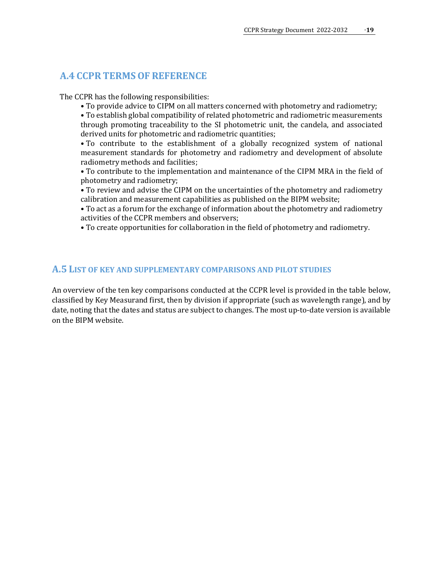#### <span id="page-18-0"></span>**A.4 CCPR TERMSOF REFERENCE**

The CCPR has the following responsibilities:

• To provide advice to CIPM on all matters concerned with photometry and radiometry;

• To establish global compatibility of related photometric and radiometric measurements through promoting traceability to the SI photometric unit, the candela, and associated derived units for photometric and radiometric quantities;

• To contribute to the establishment of a globally recognized system of national measurement standards for photometry and radiometry and development of absolute radiometry methods and facilities;

• To contribute to the implementation and maintenance of the CIPM MRA in the field of photometry and radiometry;

• To review and advise the CIPM on the uncertainties of the photometry and radiometry calibration and measurement capabilities as published on the BIPM website;

• To act as a forum for the exchange of information about the photometry and radiometry activities of the CCPR members and observers;

• To create opportunities for collaboration in the field of photometry and radiometry.

#### <span id="page-18-1"></span>**A.5 LIST OF KEY AND SUPPLEMENTARY COMPARISONS AND PILOT STUDIES**

An overview of the ten key comparisons conducted at the CCPR level is provided in the table below, classified by Key Measurand first, then by division if appropriate (such as wavelength range), and by date, noting that the dates and status are subject to changes. The most up-to-date version is available on the BIPM website.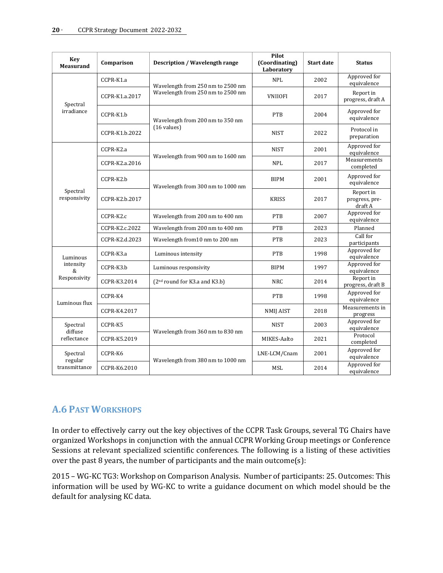| <b>Key</b><br><b>Measurand</b>             | Comparison     | <b>Description / Wavelength range</b>                                  | Pilot<br>(Coordinating)<br>Laboratory | <b>Start date</b> | <b>Status</b>                          |
|--------------------------------------------|----------------|------------------------------------------------------------------------|---------------------------------------|-------------------|----------------------------------------|
| Spectral<br>irradiance                     | CCPR-K1.a      | Wavelength from 250 nm to 2500 nm<br>Wavelength from 250 nm to 2500 nm | <b>NPL</b>                            | 2002              | Approved for<br>equivalence            |
|                                            | CCPR-K1.a.2017 |                                                                        | <b>VNIIOFI</b>                        | 2017              | Report in<br>progress, draft A         |
|                                            | CCPR-K1.b      | Wavelength from 200 nm to 350 nm<br>$(16 \text{ values})$              | <b>PTB</b>                            | 2004              | Approved for<br>equivalence            |
|                                            | CCPR-K1.b.2022 |                                                                        | <b>NIST</b>                           | 2022              | Protocol in<br>preparation             |
| Spectral<br>responsivity                   | CCPR-K2.a      | Wavelength from 900 nm to 1600 nm                                      | <b>NIST</b>                           | 2001              | Approved for<br>equivalence            |
|                                            | CCPR-K2.a.2016 |                                                                        | <b>NPL</b>                            | 2017              | Measurements<br>completed              |
|                                            | CCPR-K2.b      | Wavelength from 300 nm to 1000 nm                                      | <b>BIPM</b>                           | 2001              | Approved for<br>equivalence            |
|                                            | CCPR-K2.b.2017 |                                                                        | <b>KRISS</b>                          | 2017              | Report in<br>progress, pre-<br>draft A |
|                                            | CCPR-K2.c      | Wavelength from 200 nm to 400 nm                                       | <b>PTB</b>                            | 2007              | Approved for<br>equivalence            |
|                                            | CCPR-K2.c.2022 | Wavelength from 200 nm to 400 nm                                       | <b>PTB</b>                            | 2023              | Planned                                |
|                                            | CCPR-K2.d.2023 | Wavelength from 10 nm to 200 nm                                        | <b>PTB</b>                            | 2023              | Call for<br>participants               |
| Luminous<br>intensity<br>&<br>Responsivity | CCPR-K3.a      | Luminous intensity                                                     | <b>PTB</b>                            | 1998              | Approved for<br>equivalence            |
|                                            | CCPR-K3.b      | Luminous responsivity                                                  | <b>BIPM</b>                           | 1997              | Approved for<br>equivalence            |
|                                            | CCPR-K3.2014   | $(2nd$ round for K3.a and K3.b)                                        | <b>NRC</b>                            | 2014              | Report in<br>progress, draft B         |
| Luminous flux                              | CCPR-K4        |                                                                        | <b>PTB</b>                            | 1998              | Approved for<br>equivalence            |
|                                            | CCPR-K4.2017   |                                                                        | <b>NMIJ AIST</b>                      | 2018              | Measurements in<br>progress            |
| Spectral<br>diffuse<br>reflectance         | CCPR-K5        | Wavelength from 360 nm to 830 nm                                       | <b>NIST</b>                           | 2003              | Approved for<br>equivalence            |
|                                            | CCPR-K5.2019   |                                                                        | MIKES-Aalto                           | 2021              | Protocol<br>completed                  |
| Spectral<br>regular<br>transmittance       | CCPR-K6        | Wavelength from 380 nm to 1000 nm                                      | LNE-LCM/Cnam                          | 2001              | Approved for<br>equivalence            |
|                                            | CCPR-K6.2010   |                                                                        | <b>MSL</b>                            | 2014              | Approved for<br>equivalence            |

# <span id="page-19-0"></span>**A.6 PAST WORKSHOPS**

In order to effectively carry out the key objectives of the CCPR Task Groups, several TG Chairs have organized Workshops in conjunction with the annual CCPR Working Group meetings or Conference Sessions at relevant specialized scientific conferences. The following is a listing of these activities over the past 8 years, the number of participants and the main outcome(s):

2015 – WG-KC TG3: Workshop on Comparison Analysis. Number of participants: 25. Outcomes: This information will be used by WG-KC to write a guidance document on which model should be the default for analysing KC data.